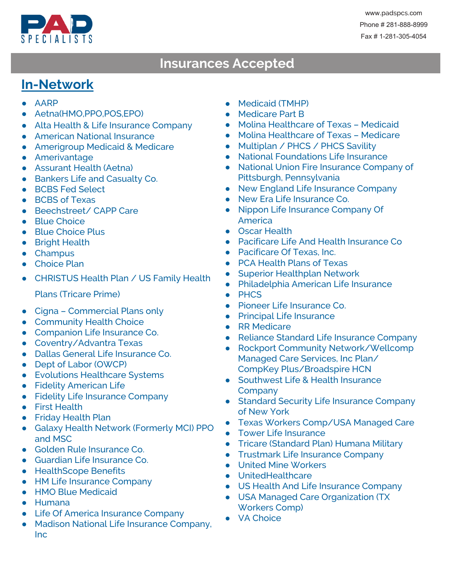

## **Insurances Accepted Insurances Accepted**

## **In-Network**

- AARP
- Aetna(HMO,PPO,POS,EPO)
- Alta Health & Life Insurance Company
- American National Insurance
- Amerigroup Medicaid & Medicare
- Amerivantage
- Assurant Health (Aetna)
- Bankers Life and Casualty Co.
- BCBS Fed Select
- BCBS of Texas
- Beechstreet/ CAPP Care
- Blue Choice
- Blue Choice Plus
- Bright Health
- Champus
- Choice Plan
- CHRISTUS Health Plan / US Family Health
	- Plans (Tricare Prime)
- Cigna Commercial Plans only
- Community Health Choice
- Companion Life Insurance Co.
- Coventry/Advantra Texas
- Dallas General Life Insurance Co.
- Dept of Labor (OWCP)
- Evolutions Healthcare Systems
- **•** Fidelity American Life
- Fidelity Life Insurance Company
- First Health
- Friday Health Plan
- Galaxy Health Network (Formerly MCI) PPO and MSC
- Golden Rule Insurance Co.
- Guardian Life Insurance Co.
- HealthScope Benefits
- HM Life Insurance Company
- HMO Blue Medicaid
- Humana
- Life Of America Insurance Company
- Madison National Life Insurance Company, Inc
- Medicaid (TMHP)
- Medicare Part B
- Molina Healthcare of Texas Medicaid
- Molina Healthcare of Texas Medicare
- Multiplan / PHCS / PHCS Savility
- National Foundations Life Insurance
- National Union Fire Insurance Company of Pittsburgh, Pennsylvania
- New England Life Insurance Company
- New Era Life Insurance Co.
- Nippon Life Insurance Company Of **America**
- Oscar Health
- Pacificare Life And Health Insurance Co
- Pacificare Of Texas, Inc.
- PCA Health Plans of Texas
- Superior Healthplan Network
- Philadelphia American Life Insurance
- PHCS
- Pioneer Life Insurance Co.
- Principal Life Insurance
- RR Medicare
- Reliance Standard Life Insurance Company
- Rockport Community Network/Wellcomp Managed Care Services, Inc Plan/ CompKey Plus/Broadspire HCN
- Southwest Life & Health Insurance **Company**
- Standard Security Life Insurance Company of New York
- Texas Workers Comp/USA Managed Care
- Tower Life Insurance
- Tricare (Standard Plan) Humana Military
- Trustmark Life Insurance Company
- United Mine Workers
- UnitedHealthcare
- US Health And Life Insurance Company
- USA Managed Care Organization (TX Workers Comp)
- VA Choice